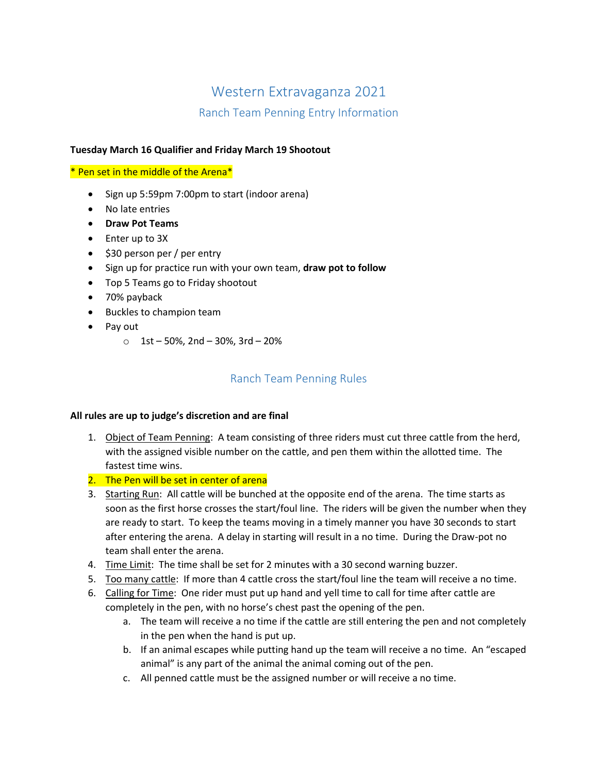# Western Extravaganza 2021

## Ranch Team Penning Entry Information

### **Tuesday March 16 Qualifier and Friday March 19 Shootout**

\* Pen set in the middle of the Arena\*

- Sign up 5:59pm 7:00pm to start (indoor arena)
- No late entries
- **Draw Pot Teams**
- Enter up to 3X
- $\bullet$  \$30 person per / per entry
- **Sign up for practice run with your own team, draw pot to follow**
- Top 5 Teams go to Friday shootout
- 70% payback
- **•** Buckles to champion team
- Pay out
	- $\circ$  1st 50%, 2nd 30%, 3rd 20%

## Ranch Team Penning Rules

#### **All rules are up to judge's discretion and are final**

- 1. Object of Team Penning: A team consisting of three riders must cut three cattle from the herd, with the assigned visible number on the cattle, and pen them within the allotted time. The fastest time wins.
- 2. The Pen will be set in center of arena
- 3. Starting Run: All cattle will be bunched at the opposite end of the arena. The time starts as soon as the first horse crosses the start/foul line. The riders will be given the number when they are ready to start. To keep the teams moving in a timely manner you have 30 seconds to start after entering the arena. A delay in starting will result in a no time. During the Draw-pot no team shall enter the arena.
- 4. Time Limit: The time shall be set for 2 minutes with a 30 second warning buzzer.
- 5. Too many cattle: If more than 4 cattle cross the start/foul line the team will receive a no time.
- 6. Calling for Time: One rider must put up hand and yell time to call for time after cattle are completely in the pen, with no horse's chest past the opening of the pen.
	- a. The team will receive a no time if the cattle are still entering the pen and not completely in the pen when the hand is put up.
	- b. If an animal escapes while putting hand up the team will receive a no time. An "escaped animal" is any part of the animal the animal coming out of the pen.
	- c. All penned cattle must be the assigned number or will receive a no time.